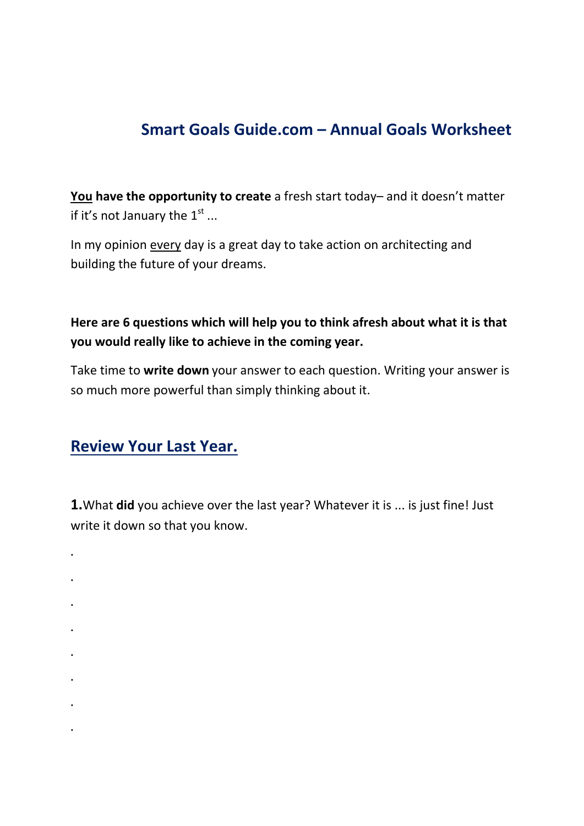# **Smart Goals Guide.com – Annual Goals Worksheet**

**You have the opportunity to create** a fresh start today– and it doesn't matter if it's not January the  $1<sup>st</sup>$  ...

In my opinion every day is a great day to take action on architecting and building the future of your dreams.

#### **Here are 6 questions which will help you to think afresh about what it is that you would really like to achieve in the coming year.**

Take time to **write down** your answer to each question. Writing your answer is so much more powerful than simply thinking about it.

### **Review Your Last Year.**

**1.**What **did** you achieve over the last year? Whatever it is ... is just fine! Just write it down so that you know.

- **. . .**
- **.**
- **.**
- **.**

**.**

- 
- **.**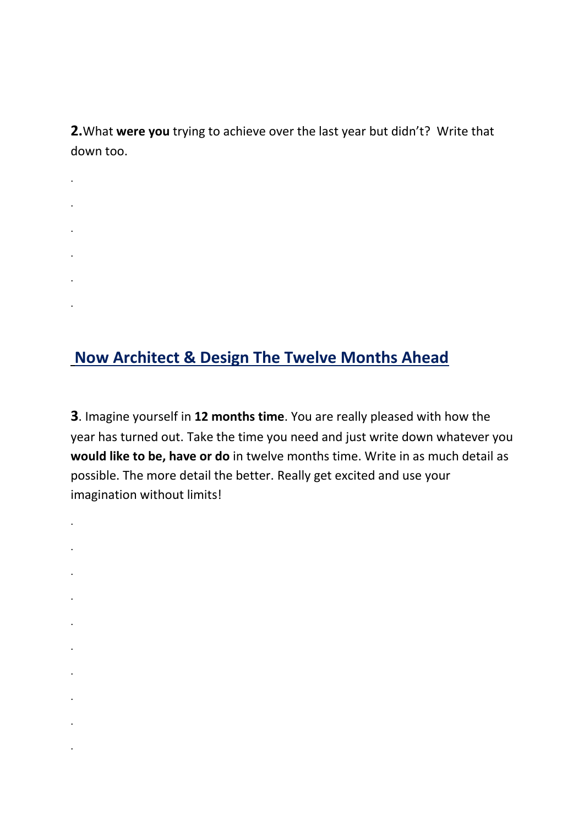**2.**What **were you** trying to achieve over the last year but didn't? Write that down too.

.

.

.

.

.

.

.

.

.

.

.

.

.

.

.

.

**Now Architect & Design The Twelve Months Ahead**

**3**. Imagine yourself in **12 months time**. You are really pleased with how the year has turned out. Take the time you need and just write down whatever you **would like to be, have or do** in twelve months time. Write in as much detail as possible. The more detail the better. Really get excited and use your imagination without limits!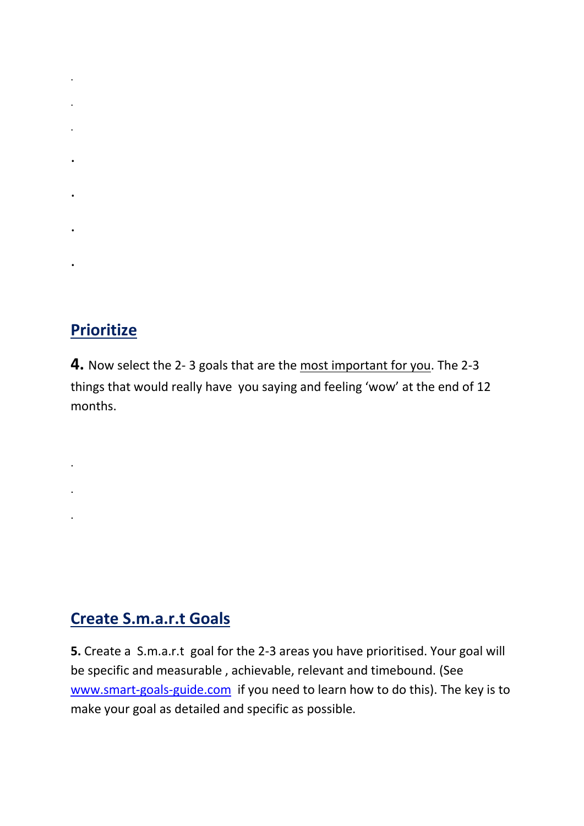- . .
- .
- .
- .
	-
- .

# **Prioritize**

.

.

.

.

**4.** Now select the 2- 3 goals that are the most important for you. The 2-3 things that would really have you saying and feeling 'wow' at the end of 12 months.

# **Create S.m.a.r.t Goals**

**5.** Create a S.m.a.r.t goal for the 2-3 areas you have prioritised. Your goal will be specific and measurable , achievable, relevant and timebound. (See [www.smart-goals-guide.com](www.smart-goals-guide.com%20) if you need to learn how to do this). The key is to make your goal as detailed and specific as possible.